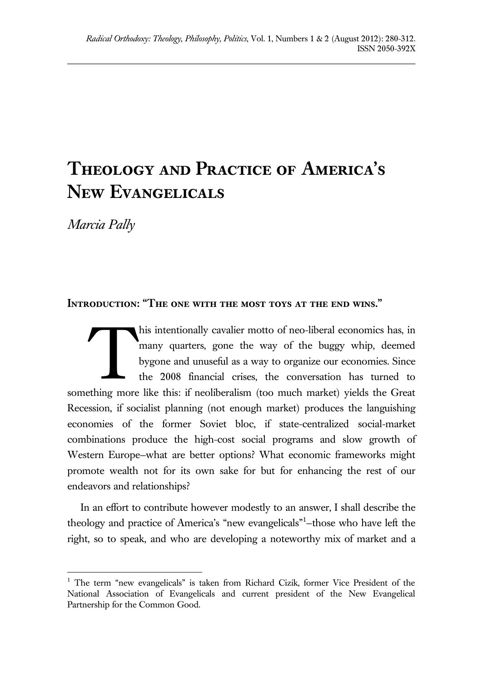# **Theology and Practice of America's New Evangelicals**

*Marcia Pally*

## **Introduction: "The one with the most toys at the end wins."**

his intentionally cavalier motto of neo-liberal economics has, in many quarters, gone the way of the buggy whip, deemed bygone and unuseful as a way to organize our economies. Since the 2008 financial crises, the conversation has turned to something more like this: if neoliberalism (too much market) yields the Great Recession, if socialist planning (not enough market) produces the languishing economies of the former Soviet bloc, if state-centralized social-market combinations produce the high-cost social programs and slow growth of Western Europe—what are better options? What economic frameworks might promote wealth not for its own sake for but for enhancing the rest of our endeavors and relationships? **T** 

In an effort to contribute however modestly to an answer, I shall describe the theology and practice of America's "new evangelicals"<sup>1</sup>-those who have left the right, so to speak, and who are developing a noteworthy mix of market and a

 $\overline{a}$  $1$  The term "new evangelicals" is taken from Richard Cizik, former Vice President of the National Association of Evangelicals and current president of the New Evangelical Partnership for the Common Good.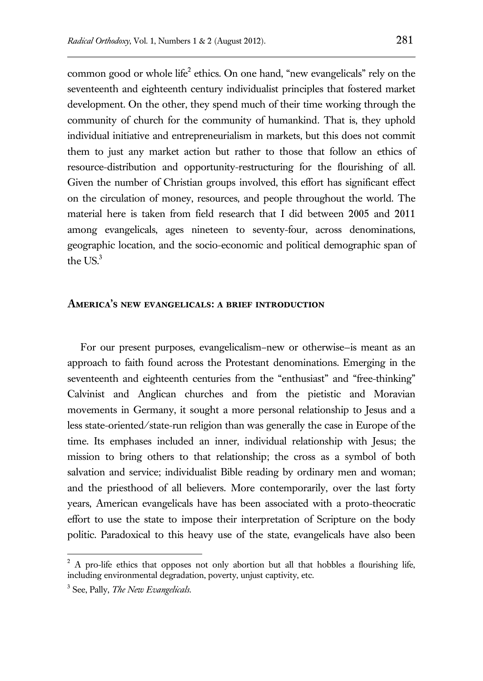common good or whole life<sup>2</sup> ethics. On one hand, "new evangelicals" rely on the seventeenth and eighteenth century individualist principles that fostered market development. On the other, they spend much of their time working through the community of church for the community of humankind. That is, they uphold individual initiative and entrepreneurialism in markets, but this does not commit them to just any market action but rather to those that follow an ethics of resource-distribution and opportunity-restructuring for the flourishing of all. Given the number of Christian groups involved, this effort has significant effect on the circulation of money, resources, and people throughout the world. The material here is taken from field research that I did between 2005 and 2011 among evangelicals, ages nineteen to seventy-four, across denominations, geographic location, and the socio-economic and political demographic span of the  $US^3$ 

#### **America's new evangelicals: a brief introduction**

For our present purposes, evangelicalism–new or otherwise—is meant as an approach to faith found across the Protestant denominations. Emerging in the seventeenth and eighteenth centuries from the "enthusiast" and "free-thinking" Calvinist and Anglican churches and from the pietistic and Moravian movements in Germany, it sought a more personal relationship to Jesus and a less state-oriented/state-run religion than was generally the case in Europe of the time. Its emphases included an inner, individual relationship with Jesus; the mission to bring others to that relationship; the cross as a symbol of both salvation and service; individualist Bible reading by ordinary men and woman; and the priesthood of all believers. More contemporarily, over the last forty years, American evangelicals have has been associated with a proto-theocratic effort to use the state to impose their interpretation of Scripture on the body politic. Paradoxical to this heavy use of the state, evangelicals have also been

3 See, Pally, *The New Evangelicals*.

 $2<sup>2</sup>$  A pro-life ethics that opposes not only abortion but all that hobbles a flourishing life, including environmental degradation, poverty, unjust captivity, etc.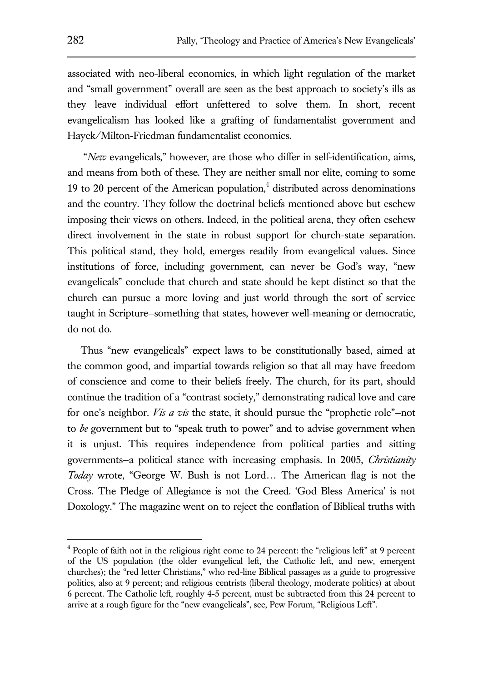associated with neo-liberal economics, in which light regulation of the market and "small government" overall are seen as the best approach to society's ills as they leave individual effort unfettered to solve them. In short, recent evangelicalism has looked like a grafting of fundamentalist government and Hayek/Milton-Friedman fundamentalist economics.

"*New* evangelicals," however, are those who differ in self-identification, aims, and means from both of these. They are neither small nor elite, coming to some 19 to 20 percent of the American population, $4$  distributed across denominations and the country. They follow the doctrinal beliefs mentioned above but eschew imposing their views on others. Indeed, in the political arena, they often eschew direct involvement in the state in robust support for church-state separation. This political stand, they hold, emerges readily from evangelical values. Since institutions of force, including government, can never be God's way, "new evangelicals" conclude that church and state should be kept distinct so that the church can pursue a more loving and just world through the sort of service taught in Scripture—something that states, however well-meaning or democratic, do not do.

Thus "new evangelicals" expect laws to be constitutionally based, aimed at the common good, and impartial towards religion so that all may have freedom of conscience and come to their beliefs freely. The church, for its part, should continue the tradition of a "contrast society," demonstrating radical love and care for one's neighbor. *Vis a vis* the state, it should pursue the "prophetic role"—not to *be* government but to "speak truth to power" and to advise government when it is unjust. This requires independence from political parties and sitting governments—a political stance with increasing emphasis. In 2005, *Christianity Today* wrote, "George W. Bush is not Lord… The American flag is not the Cross. The Pledge of Allegiance is not the Creed. 'God Bless America' is not Doxology." The magazine went on to reject the conflation of Biblical truths with

 $4$  People of faith not in the religious right come to 24 percent: the "religious left" at 9 percent of the US population (the older evangelical left, the Catholic left, and new, emergent churches); the "red letter Christians," who red-line Biblical passages as a guide to progressive politics, also at 9 percent; and religious centrists (liberal theology, moderate politics) at about 6 percent. The Catholic left, roughly 4-5 percent, must be subtracted from this 24 percent to arrive at a rough figure for the "new evangelicals", see, Pew Forum, "Religious Left".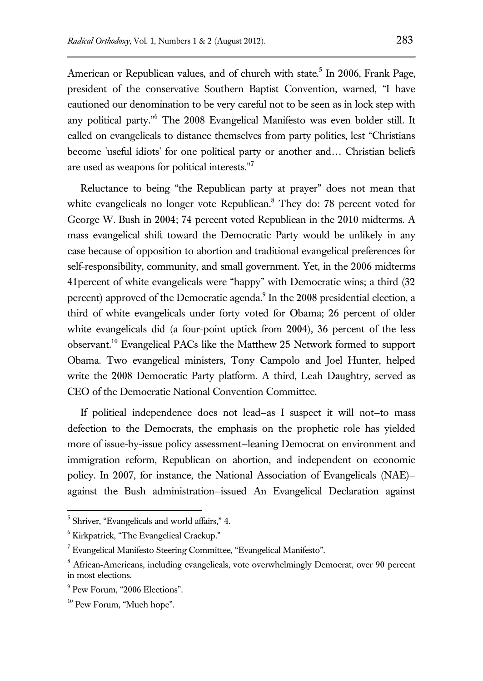American or Republican values, and of church with state.<sup>5</sup> In 2006, Frank Page, president of the conservative Southern Baptist Convention, warned, "I have cautioned our denomination to be very careful not to be seen as in lock step with any political party."<sup>6</sup> The 2008 Evangelical Manifesto was even bolder still. It called on evangelicals to distance themselves from party politics, lest "Christians become 'useful idiots' for one political party or another and… Christian beliefs are used as weapons for political interests."<sup>7</sup>

Reluctance to being "the Republican party at prayer" does not mean that white evangelicals no longer vote Republican. $8$  They do: 78 percent voted for George W. Bush in 2004; 74 percent voted Republican in the 2010 midterms. A mass evangelical shift toward the Democratic Party would be unlikely in any case because of opposition to abortion and traditional evangelical preferences for self-responsibility, community, and small government. Yet, in the 2006 midterms 41percent of white evangelicals were "happy" with Democratic wins; a third (32 percent) approved of the Democratic agenda.<sup>9</sup> In the 2008 presidential election, a third of white evangelicals under forty voted for Obama; 26 percent of older white evangelicals did (a four-point uptick from 2004), 36 percent of the less observant.<sup>10</sup> Evangelical PACs like the Matthew 25 Network formed to support Obama. Two evangelical ministers, Tony Campolo and Joel Hunter, helped write the 2008 Democratic Party platform. A third, Leah Daughtry, served as CEO of the Democratic National Convention Committee.

If political independence does not lead—as I suspect it will not—to mass defection to the Democrats, the emphasis on the prophetic role has yielded more of issue-by-issue policy assessment—leaning Democrat on environment and immigration reform, Republican on abortion, and independent on economic policy. In 2007, for instance, the National Association of Evangelicals (NAE) against the Bush administration—issued An Evangelical Declaration against

<sup>&</sup>lt;sup>5</sup> Shriver, "Evangelicals and world affairs," 4.

<sup>6</sup> Kirkpatrick, "The Evangelical Crackup."

<sup>7</sup> Evangelical Manifesto Steering Committee, "Evangelical Manifesto".

<sup>8</sup> African-Americans, including evangelicals, vote overwhelmingly Democrat, over 90 percent in most elections.

<sup>&</sup>lt;sup>9</sup> Pew Forum, "2006 Elections".

<sup>&</sup>lt;sup>10</sup> Pew Forum, "Much hope".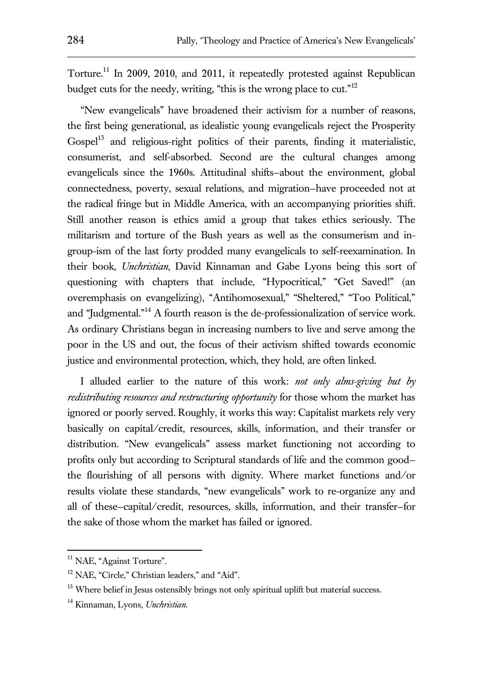Torture.<sup>11</sup> In 2009, 2010, and 2011, it repeatedly protested against Republican budget cuts for the needy, writing, "this is the wrong place to cut."<sup>12</sup>

"New evangelicals" have broadened their activism for a number of reasons, the first being generational, as idealistic young evangelicals reject the Prosperity Gospel<sup>13</sup> and religious-right politics of their parents, finding it materialistic, consumerist, and self-absorbed. Second are the cultural changes among evangelicals since the 1960s. Attitudinal shifts—about the environment, global connectedness, poverty, sexual relations, and migration—have proceeded not at the radical fringe but in Middle America, with an accompanying priorities shift. Still another reason is ethics amid a group that takes ethics seriously. The militarism and torture of the Bush years as well as the consumerism and ingroup-ism of the last forty prodded many evangelicals to self-reexamination. In their book, *Unchristian*, David Kinnaman and Gabe Lyons being this sort of questioning with chapters that include, "Hypocritical," "Get Saved!" (an overemphasis on evangelizing), "Antihomosexual," "Sheltered," "Too Political," and "Judgmental."<sup>14</sup> A fourth reason is the de-professionalization of service work. As ordinary Christians began in increasing numbers to live and serve among the poor in the US and out, the focus of their activism shifted towards economic justice and environmental protection, which, they hold, are often linked.

I alluded earlier to the nature of this work: *not only alms-giving but by redistributing resources and restructuring opportunity* for those whom the market has ignored or poorly served. Roughly, it works this way: Capitalist markets rely very basically on capital/credit, resources, skills, information, and their transfer or distribution. "New evangelicals" assess market functioning not according to profits only but according to Scriptural standards of life and the common good the flourishing of all persons with dignity. Where market functions and/or results violate these standards, "new evangelicals" work to re-organize any and all of these—capital/credit, resources, skills, information, and their transfer—for the sake of those whom the market has failed or ignored.

<sup>&</sup>lt;sup>11</sup> NAE, "Against Torture".

<sup>&</sup>lt;sup>12</sup> NAE, "Circle," Christian leaders," and "Aid".

 $13$  Where belief in Jesus ostensibly brings not only spiritual uplift but material success.

<sup>14</sup> Kinnaman, Lyons, *Unchristian*.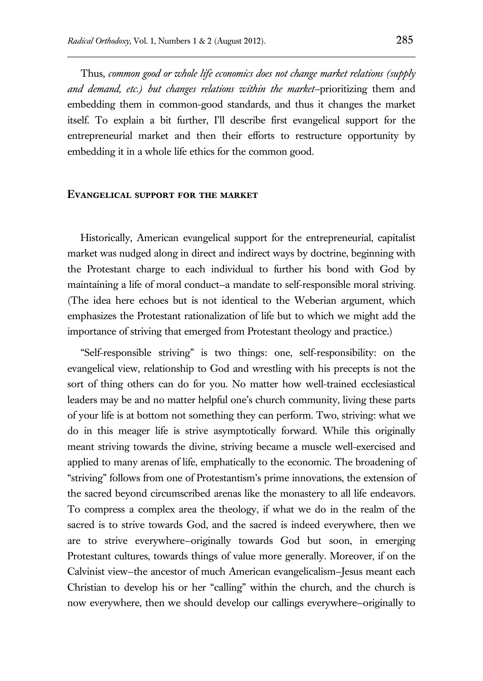Thus, *common good or whole life economics does not change market relations (supply and demand, etc.) but changes relations within the market—*prioritizing them and embedding them in common-good standards, and thus it changes the market itself. To explain a bit further, I'll describe first evangelical support for the entrepreneurial market and then their efforts to restructure opportunity by embedding it in a whole life ethics for the common good.

#### **Evangelical support for the market**

Historically, American evangelical support for the entrepreneurial, capitalist market was nudged along in direct and indirect ways by doctrine, beginning with the Protestant charge to each individual to further his bond with God by maintaining a life of moral conduct—a mandate to self-responsible moral striving. (The idea here echoes but is not identical to the Weberian argument, which emphasizes the Protestant rationalization of life but to which we might add the importance of striving that emerged from Protestant theology and practice.)

"Self-responsible striving" is two things: one, self-responsibility: on the evangelical view, relationship to God and wrestling with his precepts is not the sort of thing others can do for you. No matter how well-trained ecclesiastical leaders may be and no matter helpful one's church community, living these parts of your life is at bottom not something they can perform. Two, striving: what we do in this meager life is strive asymptotically forward. While this originally meant striving towards the divine, striving became a muscle well-exercised and applied to many arenas of life, emphatically to the economic. The broadening of "striving" follows from one of Protestantism's prime innovations, the extension of the sacred beyond circumscribed arenas like the monastery to all life endeavors. To compress a complex area the theology, if what we do in the realm of the sacred is to strive towards God, and the sacred is indeed everywhere, then we are to strive everywhere—originally towards God but soon, in emerging Protestant cultures, towards things of value more generally. Moreover, if on the Calvinist view—the ancestor of much American evangelicalism—Jesus meant each Christian to develop his or her "calling" within the church, and the church is now everywhere, then we should develop our callings everywhere—originally to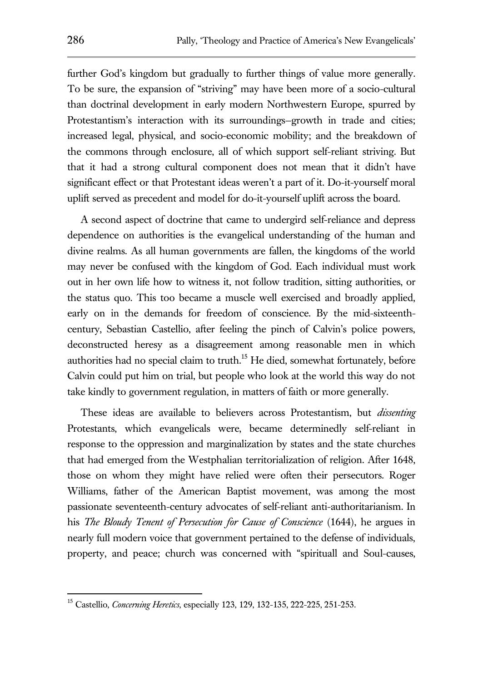further God's kingdom but gradually to further things of value more generally. To be sure, the expansion of "striving" may have been more of a socio-cultural than doctrinal development in early modern Northwestern Europe, spurred by Protestantism's interaction with its surroundings—growth in trade and cities; increased legal, physical, and socio-economic mobility; and the breakdown of the commons through enclosure, all of which support self-reliant striving. But that it had a strong cultural component does not mean that it didn't have significant effect or that Protestant ideas weren't a part of it. Do-it-yourself moral uplift served as precedent and model for do-it-yourself uplift across the board.

A second aspect of doctrine that came to undergird self-reliance and depress dependence on authorities is the evangelical understanding of the human and divine realms. As all human governments are fallen, the kingdoms of the world may never be confused with the kingdom of God. Each individual must work out in her own life how to witness it, not follow tradition, sitting authorities, or the status quo. This too became a muscle well exercised and broadly applied, early on in the demands for freedom of conscience. By the mid-sixteenthcentury, Sebastian Castellio, after feeling the pinch of Calvin's police powers, deconstructed heresy as a disagreement among reasonable men in which authorities had no special claim to truth.<sup>15</sup> He died, somewhat fortunately, before Calvin could put him on trial, but people who look at the world this way do not take kindly to government regulation, in matters of faith or more generally.

These ideas are available to believers across Protestantism, but *dissenting* Protestants, which evangelicals were, became determinedly self-reliant in response to the oppression and marginalization by states and the state churches that had emerged from the Westphalian territorialization of religion. After 1648, those on whom they might have relied were often their persecutors. Roger Williams, father of the American Baptist movement, was among the most passionate seventeenth-century advocates of self-reliant anti-authoritarianism. In his *The Bloudy Tenent of Persecution for Cause of Conscience* (1644), he argues in nearly full modern voice that government pertained to the defense of individuals, property, and peace; church was concerned with "spirituall and Soul-causes,

<sup>15</sup> Castellio, *Concerning Heretics*, especially 123, 129, 132-135, 222-225, 251-253.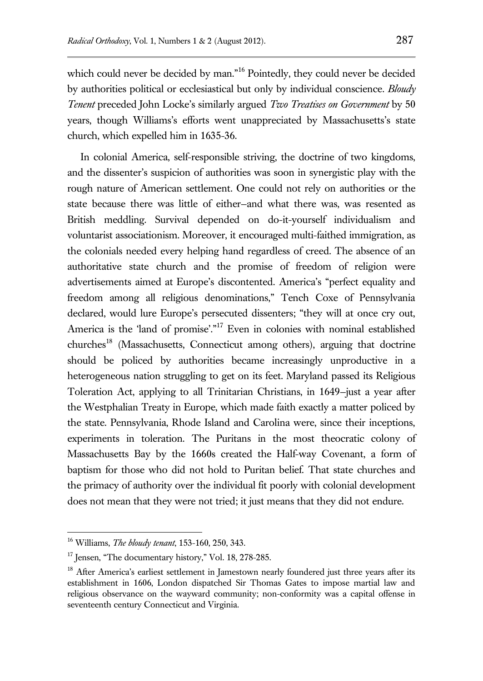which could never be decided by man."<sup>16</sup> Pointedly, they could never be decided by authorities political or ecclesiastical but only by individual conscience. *Bloudy Tenent* preceded John Locke's similarly argued *Two Treatises on Government* by 50 years, though Williams's efforts went unappreciated by Massachusetts's state church, which expelled him in 1635-36.

In colonial America, self-responsible striving, the doctrine of two kingdoms, and the dissenter's suspicion of authorities was soon in synergistic play with the rough nature of American settlement. One could not rely on authorities or the state because there was little of either—and what there was, was resented as British meddling. Survival depended on do-it-yourself individualism and voluntarist associationism. Moreover, it encouraged multi-faithed immigration, as the colonials needed every helping hand regardless of creed. The absence of an authoritative state church and the promise of freedom of religion were advertisements aimed at Europe's discontented. America's "perfect equality and freedom among all religious denominations," Tench Coxe of Pennsylvania declared, would lure Europe's persecuted dissenters; "they will at once cry out, America is the 'land of promise'."<sup>17</sup> Even in colonies with nominal established churches<sup>18</sup> (Massachusetts, Connecticut among others), arguing that doctrine should be policed by authorities became increasingly unproductive in a heterogeneous nation struggling to get on its feet. Maryland passed its Religious Toleration Act, applying to all Trinitarian Christians, in 1649—just a year after the Westphalian Treaty in Europe, which made faith exactly a matter policed by the state. Pennsylvania, Rhode Island and Carolina were, since their inceptions, experiments in toleration. The Puritans in the most theocratic colony of Massachusetts Bay by the 1660s created the Half-way Covenant, a form of baptism for those who did not hold to Puritan belief. That state churches and the primacy of authority over the individual fit poorly with colonial development does not mean that they were not tried; it just means that they did not endure.

<sup>16</sup> Williams, *The bloudy tenant*, 153-160, 250, 343.

 $17$  Jensen, "The documentary history," Vol. 18, 278-285.

<sup>&</sup>lt;sup>18</sup> After America's earliest settlement in Jamestown nearly foundered just three years after its establishment in 1606, London dispatched Sir Thomas Gates to impose martial law and religious observance on the wayward community; non-conformity was a capital offense in seventeenth century Connecticut and Virginia.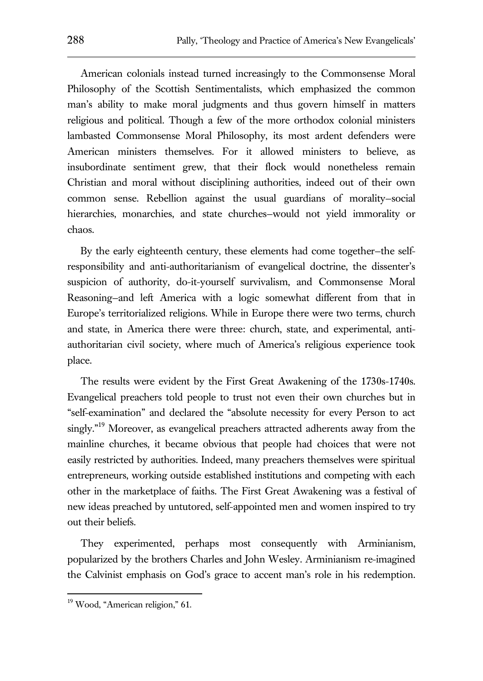American colonials instead turned increasingly to the Commonsense Moral Philosophy of the Scottish Sentimentalists, which emphasized the common man's ability to make moral judgments and thus govern himself in matters religious and political. Though a few of the more orthodox colonial ministers lambasted Commonsense Moral Philosophy, its most ardent defenders were American ministers themselves. For it allowed ministers to believe, as insubordinate sentiment grew, that their flock would nonetheless remain Christian and moral without disciplining authorities, indeed out of their own common sense. Rebellion against the usual guardians of morality—social hierarchies, monarchies, and state churches—would not yield immorality or chaos.

By the early eighteenth century, these elements had come together—the selfresponsibility and anti-authoritarianism of evangelical doctrine, the dissenter's suspicion of authority, do-it-yourself survivalism, and Commonsense Moral Reasoning—and left America with a logic somewhat different from that in Europe's territorialized religions. While in Europe there were two terms, church and state, in America there were three: church, state, and experimental, antiauthoritarian civil society, where much of America's religious experience took place.

The results were evident by the First Great Awakening of the 1730s-1740s. Evangelical preachers told people to trust not even their own churches but in "self-examination" and declared the "absolute necessity for every Person to act singly."<sup>19</sup> Moreover, as evangelical preachers attracted adherents away from the mainline churches, it became obvious that people had choices that were not easily restricted by authorities. Indeed, many preachers themselves were spiritual entrepreneurs, working outside established institutions and competing with each other in the marketplace of faiths. The First Great Awakening was a festival of new ideas preached by untutored, self-appointed men and women inspired to try out their beliefs.

They experimented, perhaps most consequently with Arminianism, popularized by the brothers Charles and John Wesley. Arminianism re-imagined the Calvinist emphasis on God's grace to accent man's role in his redemption.

<sup>&</sup>lt;sup>19</sup> Wood, "American religion," 61.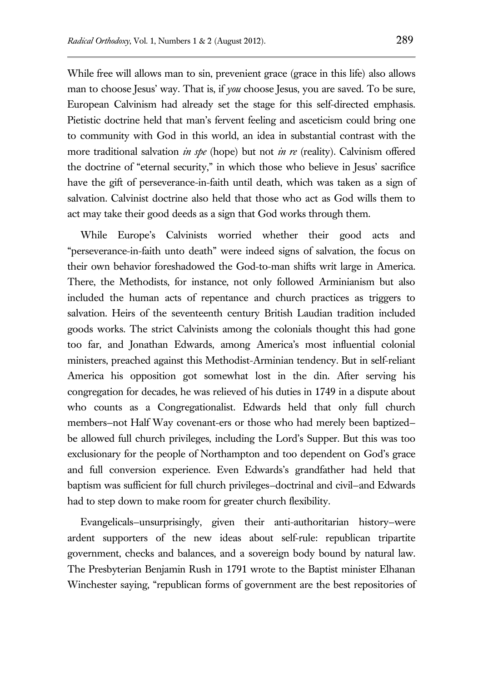While free will allows man to sin, prevenient grace (grace in this life) also allows man to choose Jesus' way. That is, if *you* choose Jesus, you are saved. To be sure, European Calvinism had already set the stage for this self-directed emphasis. Pietistic doctrine held that man's fervent feeling and asceticism could bring one to community with God in this world, an idea in substantial contrast with the more traditional salvation *in spe* (hope) but not *in re* (reality). Calvinism offered the doctrine of "eternal security," in which those who believe in Jesus' sacrifice have the gift of perseverance-in-faith until death, which was taken as a sign of salvation. Calvinist doctrine also held that those who act as God wills them to act may take their good deeds as a sign that God works through them.

While Europe's Calvinists worried whether their good acts and "perseverance-in-faith unto death" were indeed signs of salvation, the focus on their own behavior foreshadowed the God-to-man shifts writ large in America. There, the Methodists, for instance, not only followed Arminianism but also included the human acts of repentance and church practices as triggers to salvation. Heirs of the seventeenth century British Laudian tradition included goods works. The strict Calvinists among the colonials thought this had gone too far, and Jonathan Edwards, among America's most influential colonial ministers, preached against this Methodist-Arminian tendency. But in self-reliant America his opposition got somewhat lost in the din. After serving his congregation for decades, he was relieved of his duties in 1749 in a dispute about who counts as a Congregationalist. Edwards held that only full church members—not Half Way covenant-ers or those who had merely been baptized be allowed full church privileges, including the Lord's Supper. But this was too exclusionary for the people of Northampton and too dependent on God's grace and full conversion experience. Even Edwards's grandfather had held that baptism was sufficient for full church privileges—doctrinal and civil—and Edwards had to step down to make room for greater church flexibility.

Evangelicals—unsurprisingly, given their anti-authoritarian history—were ardent supporters of the new ideas about self-rule: republican tripartite government, checks and balances, and a sovereign body bound by natural law. The Presbyterian Benjamin Rush in 1791 wrote to the Baptist minister Elhanan Winchester saying, "republican forms of government are the best repositories of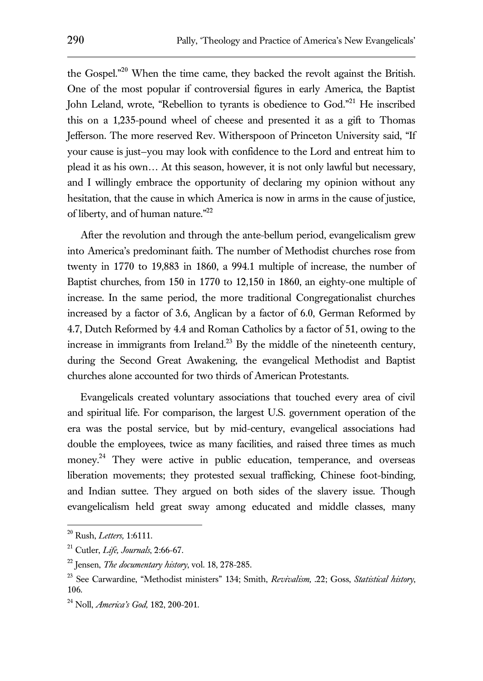the Gospel."<sup>20</sup> When the time came, they backed the revolt against the British. One of the most popular if controversial figures in early America, the Baptist John Leland, wrote, "Rebellion to tyrants is obedience to God."<sup>21</sup> He inscribed this on a 1,235-pound wheel of cheese and presented it as a gift to Thomas Jefferson. The more reserved Rev. Witherspoon of Princeton University said, "If your cause is just—you may look with confidence to the Lord and entreat him to plead it as his own… At this season, however, it is not only lawful but necessary, and I willingly embrace the opportunity of declaring my opinion without any hesitation, that the cause in which America is now in arms in the cause of justice, of liberty, and of human nature."<sup>22</sup>

After the revolution and through the ante-bellum period, evangelicalism grew into America's predominant faith. The number of Methodist churches rose from twenty in 1770 to 19,883 in 1860, a 994.1 multiple of increase, the number of Baptist churches, from 150 in 1770 to 12,150 in 1860, an eighty-one multiple of increase. In the same period, the more traditional Congregationalist churches increased by a factor of 3.6, Anglican by a factor of 6.0, German Reformed by 4.7, Dutch Reformed by 4.4 and Roman Catholics by a factor of 51, owing to the increase in immigrants from Ireland.<sup>23</sup> By the middle of the nineteenth century, during the Second Great Awakening, the evangelical Methodist and Baptist churches alone accounted for two thirds of American Protestants.

Evangelicals created voluntary associations that touched every area of civil and spiritual life. For comparison, the largest U.S. government operation of the era was the postal service, but by mid-century, evangelical associations had double the employees, twice as many facilities, and raised three times as much money.<sup>24</sup> They were active in public education, temperance, and overseas liberation movements; they protested sexual trafficking, Chinese foot-binding, and Indian suttee. They argued on both sides of the slavery issue. Though evangelicalism held great sway among educated and middle classes, many

<sup>20</sup> Rush, *Letters,* 1:6111.

<sup>21</sup> Cutler, *Life, Journals*, 2:66-67.

<sup>22</sup> Jensen, *The documentary history*, vol. 18, 278-285.

<sup>23</sup> See Carwardine, "Methodist ministers" 134; Smith, *Revivalism,* .22; Goss, *Statistical history*, 106.

<sup>24</sup> Noll, *America's God,* 182, 200-201.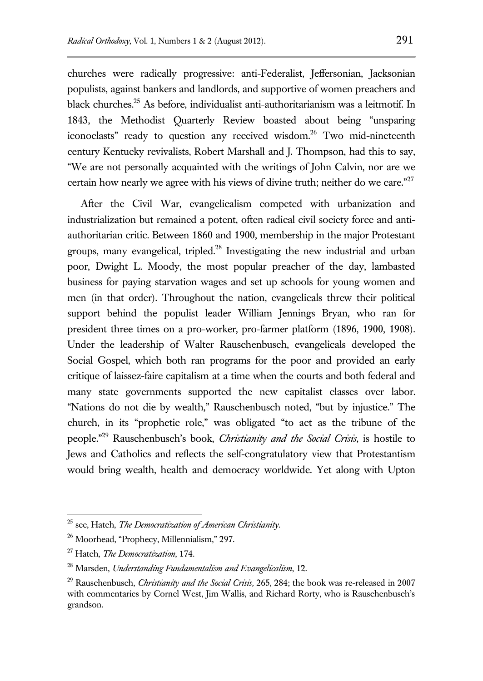churches were radically progressive: anti-Federalist, Jeffersonian, Jacksonian populists, against bankers and landlords, and supportive of women preachers and black churches. <sup>25</sup> As before, individualist anti-authoritarianism was a leitmotif. In 1843, the Methodist Quarterly Review boasted about being "unsparing iconoclasts" ready to question any received wisdom.<sup>26</sup> Two mid-nineteenth century Kentucky revivalists, Robert Marshall and J. Thompson, had this to say, "We are not personally acquainted with the writings of John Calvin, nor are we certain how nearly we agree with his views of divine truth; neither do we care."<sup>27</sup>

After the Civil War, evangelicalism competed with urbanization and industrialization but remained a potent, often radical civil society force and antiauthoritarian critic. Between 1860 and 1900, membership in the major Protestant groups, many evangelical, tripled.<sup>28</sup> Investigating the new industrial and urban poor, Dwight L. Moody, the most popular preacher of the day, lambasted business for paying starvation wages and set up schools for young women and men (in that order). Throughout the nation, evangelicals threw their political support behind the populist leader William Jennings Bryan, who ran for president three times on a pro-worker, pro-farmer platform (1896, 1900, 1908). Under the leadership of Walter Rauschenbusch, evangelicals developed the Social Gospel, which both ran programs for the poor and provided an early critique of laissez-faire capitalism at a time when the courts and both federal and many state governments supported the new capitalist classes over labor. "Nations do not die by wealth," Rauschenbusch noted, "but by injustice." The church, in its "prophetic role," was obligated "to act as the tribune of the people."<sup>29</sup> Rauschenbusch's book, *Christianity and the Social Crisis*, is hostile to Jews and Catholics and reflects the self-congratulatory view that Protestantism would bring wealth, health and democracy worldwide. Yet along with Upton

<sup>25</sup> see, Hatch, *The Democratization of American Christianity*.

<sup>26</sup> Moorhead, "Prophecy, Millennialism," 297.

<sup>27</sup> Hatch, *The Democratization*, 174.

<sup>28</sup> Marsden, *Understanding Fundamentalism and Evangelicalism*, 12.

<sup>29</sup> Rauschenbusch, *Christianity and the Social Crisis,* 265, 284; the book was re-released in 2007 with commentaries by Cornel West, Jim Wallis, and Richard Rorty, who is Rauschenbusch's grandson.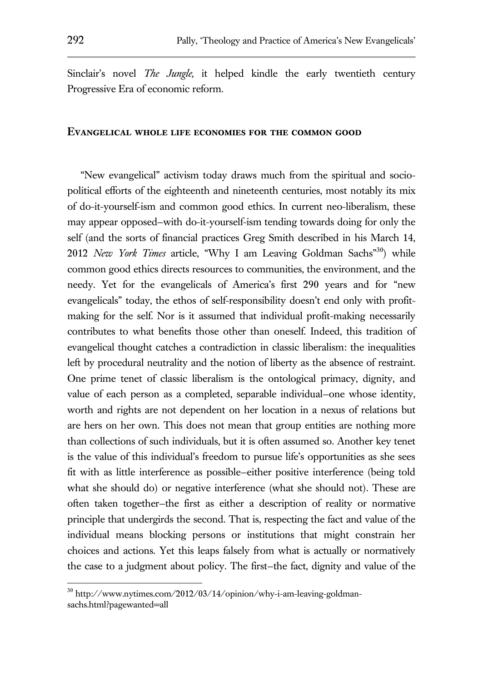Sinclair's novel *The Jungle,* it helped kindle the early twentieth century Progressive Era of economic reform.

#### **Evangelical whole life economies for the common good**

"New evangelical" activism today draws much from the spiritual and sociopolitical efforts of the eighteenth and nineteenth centuries, most notably its mix of do-it-yourself-ism and common good ethics. In current neo-liberalism, these may appear opposed—with do-it-yourself-ism tending towards doing for only the self (and the sorts of financial practices Greg Smith described in his March 14, 2012 *New York Times* article, "Why I am Leaving Goldman Sachs"<sup>30</sup>) while common good ethics directs resources to communities, the environment, and the needy. Yet for the evangelicals of America's first 290 years and for "new evangelicals" today, the ethos of self-responsibility doesn't end only with profitmaking for the self. Nor is it assumed that individual profit-making necessarily contributes to what benefits those other than oneself. Indeed, this tradition of evangelical thought catches a contradiction in classic liberalism: the inequalities left by procedural neutrality and the notion of liberty as the absence of restraint. One prime tenet of classic liberalism is the ontological primacy, dignity, and value of each person as a completed, separable individual—one whose identity, worth and rights are not dependent on her location in a nexus of relations but are hers on her own. This does not mean that group entities are nothing more than collections of such individuals, but it is often assumed so. Another key tenet is the value of this individual's freedom to pursue life's opportunities as she sees fit with as little interference as possible—either positive interference (being told what she should do) or negative interference (what she should not). These are often taken together—the first as either a description of reality or normative principle that undergirds the second. That is, respecting the fact and value of the individual means blocking persons or institutions that might constrain her choices and actions. Yet this leaps falsely from what is actually or normatively the case to a judgment about policy. The first—the fact, dignity and value of the

<sup>30</sup> http://www.nytimes.com/2012/03/14/opinion/why-i-am-leaving-goldmansachs.html?pagewanted=all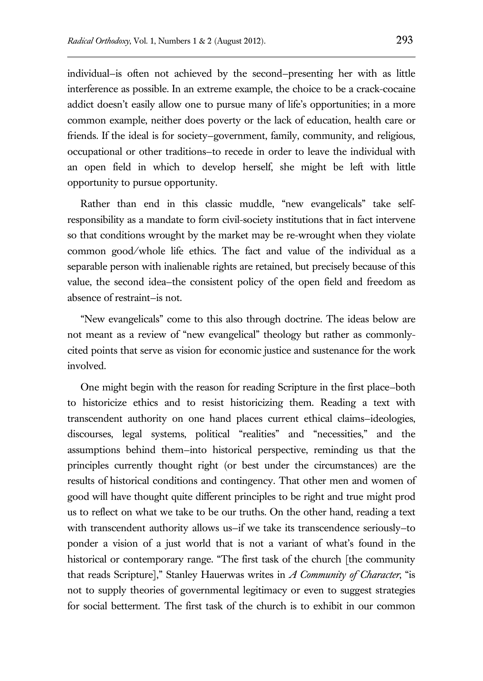individual—is often not achieved by the second—presenting her with as little interference as possible. In an extreme example, the choice to be a crack-cocaine addict doesn't easily allow one to pursue many of life's opportunities; in a more common example, neither does poverty or the lack of education, health care or friends. If the ideal is for society—government, family, community, and religious, occupational or other traditions—to recede in order to leave the individual with an open field in which to develop herself, she might be left with little opportunity to pursue opportunity.

Rather than end in this classic muddle, "new evangelicals" take selfresponsibility as a mandate to form civil-society institutions that in fact intervene so that conditions wrought by the market may be re-wrought when they violate common good/whole life ethics. The fact and value of the individual as a separable person with inalienable rights are retained, but precisely because of this value, the second idea—the consistent policy of the open field and freedom as absence of restraint—is not.

"New evangelicals" come to this also through doctrine. The ideas below are not meant as a review of "new evangelical" theology but rather as commonlycited points that serve as vision for economic justice and sustenance for the work involved.

One might begin with the reason for reading Scripture in the first place—both to historicize ethics and to resist historicizing them. Reading a text with transcendent authority on one hand places current ethical claims—ideologies, discourses, legal systems, political "realities" and "necessities," and the assumptions behind them—into historical perspective, reminding us that the principles currently thought right (or best under the circumstances) are the results of historical conditions and contingency. That other men and women of good will have thought quite different principles to be right and true might prod us to reflect on what we take to be our truths. On the other hand, reading a text with transcendent authority allows us—if we take its transcendence seriously—to ponder a vision of a just world that is not a variant of what's found in the historical or contemporary range. "The first task of the church [the community that reads Scripture]," Stanley Hauerwas writes in *A Community of Character*, "is not to supply theories of governmental legitimacy or even to suggest strategies for social betterment. The first task of the church is to exhibit in our common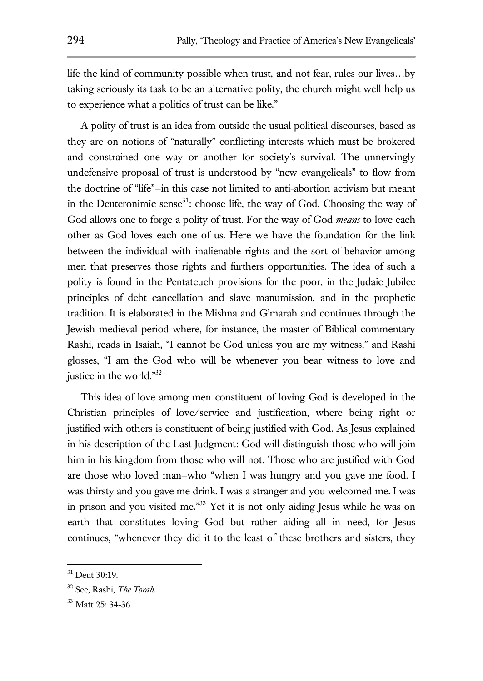life the kind of community possible when trust, and not fear, rules our lives…by taking seriously its task to be an alternative polity, the church might well help us to experience what a politics of trust can be like."

A polity of trust is an idea from outside the usual political discourses, based as they are on notions of "naturally" conflicting interests which must be brokered and constrained one way or another for society's survival. The unnervingly undefensive proposal of trust is understood by "new evangelicals" to flow from the doctrine of "life"—in this case not limited to anti-abortion activism but meant in the Deuteronimic sense $31$ : choose life, the way of God. Choosing the way of God allows one to forge a polity of trust. For the way of God *means* to love each other as God loves each one of us. Here we have the foundation for the link between the individual with inalienable rights and the sort of behavior among men that preserves those rights and furthers opportunities. The idea of such a polity is found in the Pentateuch provisions for the poor, in the Judaic Jubilee principles of debt cancellation and slave manumission, and in the prophetic tradition. It is elaborated in the Mishna and G'marah and continues through the Jewish medieval period where, for instance, the master of Biblical commentary Rashi, reads in Isaiah, "I cannot be God unless you are my witness," and Rashi glosses, "I am the God who will be whenever you bear witness to love and justice in the world."<sup>32</sup>

This idea of love among men constituent of loving God is developed in the Christian principles of love/service and justification, where being right or justified with others is constituent of being justified with God. As Jesus explained in his description of the Last Judgment: God will distinguish those who will join him in his kingdom from those who will not. Those who are justified with God are those who loved man—who "when I was hungry and you gave me food. I was thirsty and you gave me drink. I was a stranger and you welcomed me. I was in prison and you visited me." <sup>33</sup> Yet it is not only aiding Jesus while he was on earth that constitutes loving God but rather aiding all in need, for Jesus continues, "whenever they did it to the least of these brothers and sisters, they

 $31$  Deut 30:19.

<sup>32</sup> See, Rashi, *The Torah*.

<sup>&</sup>lt;sup>33</sup> Matt 25: 34-36.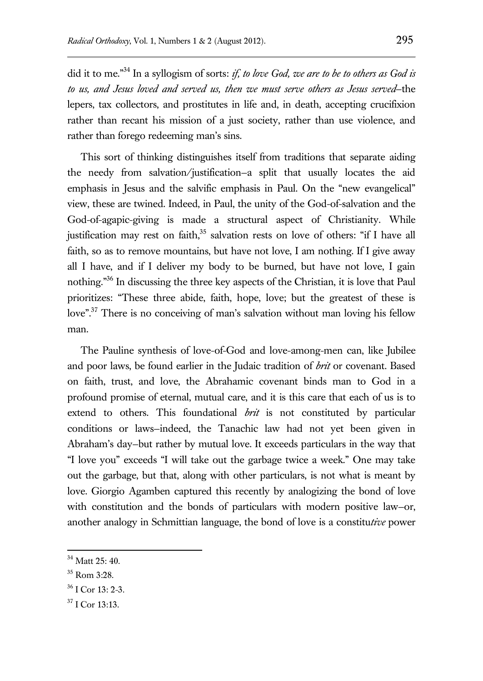did it to me." <sup>34</sup> In a syllogism of sorts: *if, to love God, we are to be to others as God is to us, and Jesus loved and served us, then we must serve others as Jesus served*—the lepers, tax collectors, and prostitutes in life and, in death, accepting crucifixion rather than recant his mission of a just society, rather than use violence, and rather than forego redeeming man's sins.

This sort of thinking distinguishes itself from traditions that separate aiding the needy from salvation/justification—a split that usually locates the aid emphasis in Jesus and the salvific emphasis in Paul. On the "new evangelical" view, these are twined. Indeed, in Paul, the unity of the God-of-salvation and the God-of-agapic-giving is made a structural aspect of Christianity. While justification may rest on faith, $35$  salvation rests on love of others: "if I have all faith, so as to remove mountains, but have not love, I am nothing. If I give away all I have, and if I deliver my body to be burned, but have not love, I gain nothing."<sup>36</sup> In discussing the three key aspects of the Christian, it is love that Paul prioritizes: "These three abide, faith, hope, love; but the greatest of these is love"<sup>37</sup> There is no conceiving of man's salvation without man loving his fellow man.

The Pauline synthesis of love-of-God and love-among-men can, like Jubilee and poor laws, be found earlier in the Judaic tradition of *brit* or covenant. Based on faith, trust, and love, the Abrahamic covenant binds man to God in a profound promise of eternal, mutual care, and it is this care that each of us is to extend to others. This foundational *brit* is not constituted by particular conditions or laws—indeed, the Tanachic law had not yet been given in Abraham's day—but rather by mutual love. It exceeds particulars in the way that "I love you" exceeds "I will take out the garbage twice a week." One may take out the garbage, but that, along with other particulars, is not what is meant by love. Giorgio Agamben captured this recently by analogizing the bond of love with constitution and the bonds of particulars with modern positive law—or, another analogy in Schmittian language, the bond of love is a constitu*tive* power

 $34$  Matt 25: 40.

 $35$  Rom  $3:28$ .

 $36$  I Cor 13: 2-3.

 $37$  I Cor 13:13.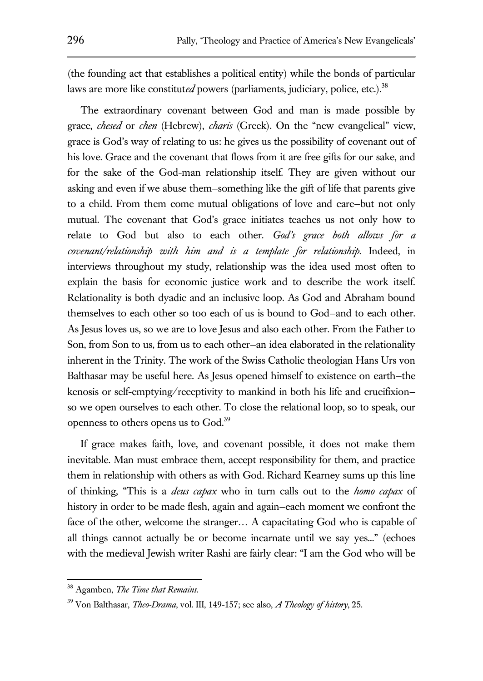(the founding act that establishes a political entity) while the bonds of particular laws are more like constituted powers (parliaments, judiciary, police, etc.).<sup>38</sup>

The extraordinary covenant between God and man is made possible by grace, *chesed* or *chen* (Hebrew), *charis* (Greek). On the "new evangelical" view, grace is God's way of relating to us: he gives us the possibility of covenant out of his love. Grace and the covenant that flows from it are free gifts for our sake, and for the sake of the God-man relationship itself. They are given without our asking and even if we abuse them—something like the gift of life that parents give to a child. From them come mutual obligations of love and care—but not only mutual. The covenant that God's grace initiates teaches us not only how to relate to God but also to each other. *God's grace both allows for a covenant/relationship with him and is a template for relationship.* Indeed, in interviews throughout my study, relationship was the idea used most often to explain the basis for economic justice work and to describe the work itself. Relationality is both dyadic and an inclusive loop. As God and Abraham bound themselves to each other so too each of us is bound to God—and to each other. As Jesus loves us, so we are to love Jesus and also each other. From the Father to Son, from Son to us, from us to each other—an idea elaborated in the relationality inherent in the Trinity. The work of the Swiss Catholic theologian Hans Urs von Balthasar may be useful here. As Jesus opened himself to existence on earth—the kenosis or self-emptying/receptivity to mankind in both his life and crucifixion so we open ourselves to each other. To close the relational loop, so to speak, our openness to others opens us to God.<sup>39</sup>

If grace makes faith, love, and covenant possible, it does not make them inevitable. Man must embrace them, accept responsibility for them, and practice them in relationship with others as with God. Richard Kearney sums up this line of thinking, "This is a *deus capax* who in turn calls out to the *homo capax* of history in order to be made flesh, again and again—each moment we confront the face of the other, welcome the stranger… A capacitating God who is capable of all things cannot actually be or become incarnate until we say yes..." (echoes with the medieval Jewish writer Rashi are fairly clear: "I am the God who will be

<sup>38</sup> Agamben, *The Time that Remains.*

<sup>39</sup> Von Balthasar, *Theo-Drama*, vol. III, 149-157; see also, *A Theology of history*, 25.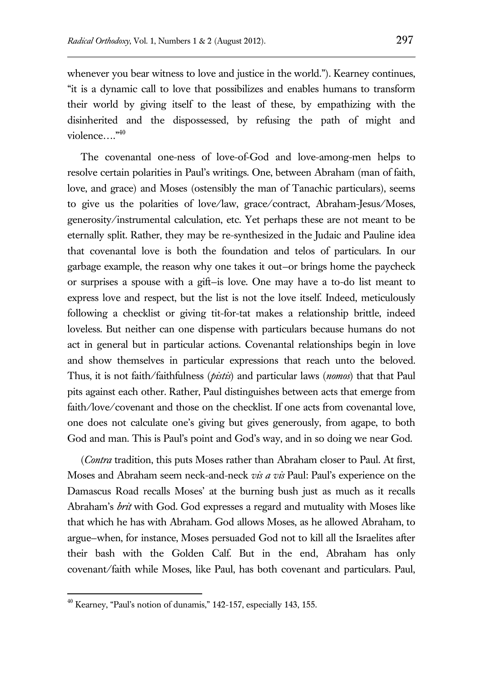whenever you bear witness to love and justice in the world."). Kearney continues, "it is a dynamic call to love that possibilizes and enables humans to transform their world by giving itself to the least of these, by empathizing with the disinherited and the dispossessed, by refusing the path of might and violence…."<sup>40</sup>

The covenantal one-ness of love-of-God and love-among-men helps to resolve certain polarities in Paul's writings. One, between Abraham (man of faith, love, and grace) and Moses (ostensibly the man of Tanachic particulars), seems to give us the polarities of love/law, grace/contract, Abraham-Jesus/Moses, generosity/instrumental calculation, etc. Yet perhaps these are not meant to be eternally split. Rather, they may be re-synthesized in the Judaic and Pauline idea that covenantal love is both the foundation and telos of particulars. In our garbage example, the reason why one takes it out—or brings home the paycheck or surprises a spouse with a gift—is love. One may have a to-do list meant to express love and respect, but the list is not the love itself. Indeed, meticulously following a checklist or giving tit-for-tat makes a relationship brittle, indeed loveless. But neither can one dispense with particulars because humans do not act in general but in particular actions. Covenantal relationships begin in love and show themselves in particular expressions that reach unto the beloved. Thus, it is not faith/faithfulness (*pistis*) and particular laws (*nomos*) that that Paul pits against each other. Rather, Paul distinguishes between acts that emerge from faith/love/covenant and those on the checklist. If one acts from covenantal love, one does not calculate one's giving but gives generously, from agape, to both God and man. This is Paul's point and God's way, and in so doing we near God.

(*Contra* tradition, this puts Moses rather than Abraham closer to Paul. At first, Moses and Abraham seem neck-and-neck *vis a vis* Paul: Paul's experience on the Damascus Road recalls Moses' at the burning bush just as much as it recalls Abraham's *brit* with God. God expresses a regard and mutuality with Moses like that which he has with Abraham. God allows Moses, as he allowed Abraham, to argue—when, for instance, Moses persuaded God not to kill all the Israelites after their bash with the Golden Calf. But in the end, Abraham has only covenant/faith while Moses, like Paul, has both covenant and particulars. Paul,

 $40$  Kearney, "Paul's notion of dunamis," 142-157, especially 143, 155.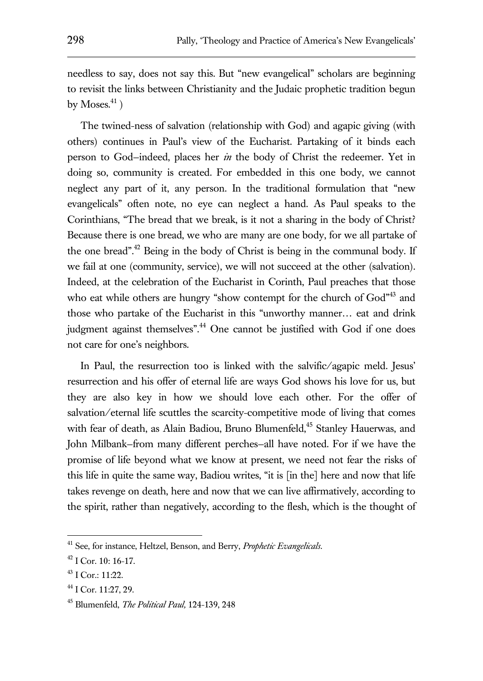needless to say, does not say this. But "new evangelical" scholars are beginning to revisit the links between Christianity and the Judaic prophetic tradition begun by Moses. $41$ )

The twined-ness of salvation (relationship with God) and agapic giving (with others) continues in Paul's view of the Eucharist. Partaking of it binds each person to God—indeed, places her *in* the body of Christ the redeemer. Yet in doing so, community is created. For embedded in this one body, we cannot neglect any part of it, any person. In the traditional formulation that "new evangelicals" often note, no eye can neglect a hand. As Paul speaks to the Corinthians, "The bread that we break, is it not a sharing in the body of Christ? Because there is one bread, we who are many are one body, for we all partake of the one bread".<sup>42</sup> Being in the body of Christ is being in the communal body. If we fail at one (community, service), we will not succeed at the other (salvation). Indeed, at the celebration of the Eucharist in Corinth, Paul preaches that those who eat while others are hungry "show contempt for the church of God"<sup>43</sup> and those who partake of the Eucharist in this "unworthy manner… eat and drink judgment against themselves".<sup>44</sup> One cannot be justified with God if one does not care for one's neighbors.

In Paul, the resurrection too is linked with the salvific/agapic meld. Jesus' resurrection and his offer of eternal life are ways God shows his love for us, but they are also key in how we should love each other. For the offer of salvation/eternal life scuttles the scarcity-competitive mode of living that comes with fear of death, as Alain Badiou, Bruno Blumenfeld, <sup>45</sup> Stanley Hauerwas, and John Milbank—from many different perches—all have noted. For if we have the promise of life beyond what we know at present, we need not fear the risks of this life in quite the same way, Badiou writes, "it is [in the] here and now that life takes revenge on death, here and now that we can live affirmatively, according to the spirit, rather than negatively, according to the flesh, which is the thought of

<sup>41</sup> See, for instance, Heltzel, Benson, and Berry, *Prophetic Evangelicals*.

 $42$  I Cor. 10: 16-17.

 $43$  I Cor.: 11:22.

 $44$  I Cor. 11:27, 29.

<sup>45</sup> Blumenfeld, *The Political Paul,* 124-139, 248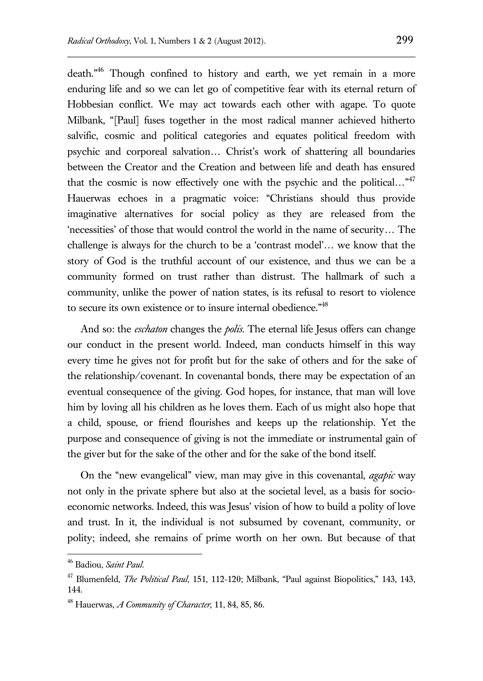death."<sup>46</sup> Though confined to history and earth, we yet remain in a more enduring life and so we can let go of competitive fear with its eternal return of Hobbesian conflict. We may act towards each other with agape. To quote Milbank, "[Paul] fuses together in the most radical manner achieved hitherto salvific, cosmic and political categories and equates political freedom with psychic and corporeal salvation… Christ's work of shattering all boundaries between the Creator and the Creation and between life and death has ensured that the cosmic is now effectively one with the psychic and the political..."<sup>47</sup> Hauerwas echoes in a pragmatic voice: "Christians should thus provide imaginative alternatives for social policy as they are released from the 'necessities' of those that would control the world in the name of security… The challenge is always for the church to be a 'contrast model'… we know that the story of God is the truthful account of our existence, and thus we can be a community formed on trust rather than distrust. The hallmark of such a community, unlike the power of nation states, is its refusal to resort to violence to secure its own existence or to insure internal obedience."<sup>48</sup>

And so: the *eschaton* changes the *polis*. The eternal life Jesus offers can change our conduct in the present world. Indeed, man conducts himself in this way every time he gives not for profit but for the sake of others and for the sake of the relationship/covenant. In covenantal bonds, there may be expectation of an eventual consequence of the giving. God hopes, for instance, that man will love him by loving all his children as he loves them. Each of us might also hope that a child, spouse, or friend flourishes and keeps up the relationship. Yet the purpose and consequence of giving is not the immediate or instrumental gain of the giver but for the sake of the other and for the sake of the bond itself.

On the "new evangelical" view, man may give in this covenantal, *agapic* way not only in the private sphere but also at the societal level, as a basis for socioeconomic networks. Indeed, this was Jesus' vision of how to build a polity of love and trust. In it, the individual is not subsumed by covenant, community, or polity; indeed, she remains of prime worth on her own. But because of that

<sup>46</sup> Badiou, *Saint Paul*.

<sup>47</sup> Blumenfeld, *The Political Paul*, 151, 112-120; Milbank, "Paul against Biopolitics," 143, 143, 144.

<sup>48</sup> Hauerwas, *A Community of Character,* 11, 84, 85, 86.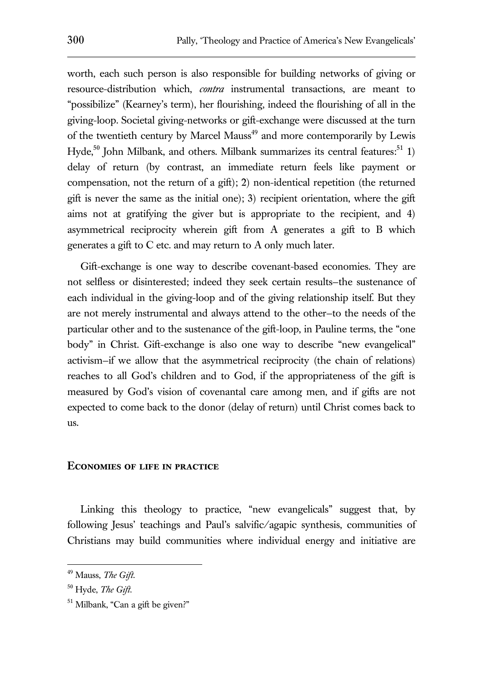worth, each such person is also responsible for building networks of giving or resource-distribution which, *contra* instrumental transactions, are meant to "possibilize" (Kearney's term), her flourishing, indeed the flourishing of all in the giving-loop. Societal giving-networks or gift-exchange were discussed at the turn of the twentieth century by Marcel Mauss<sup>49</sup> and more contemporarily by Lewis Hyde,<sup>50</sup> John Milbank, and others. Milbank summarizes its central features:<sup>51</sup> 1) delay of return (by contrast, an immediate return feels like payment or compensation, not the return of a gift); 2) non-identical repetition (the returned gift is never the same as the initial one); 3) recipient orientation, where the gift aims not at gratifying the giver but is appropriate to the recipient, and 4) asymmetrical reciprocity wherein gift from A generates a gift to B which generates a gift to C etc. and may return to A only much later.

Gift-exchange is one way to describe covenant-based economies. They are not selfless or disinterested; indeed they seek certain results—the sustenance of each individual in the giving-loop and of the giving relationship itself. But they are not merely instrumental and always attend to the other—to the needs of the particular other and to the sustenance of the gift-loop, in Pauline terms, the "one body" in Christ. Gift-exchange is also one way to describe "new evangelical" activism—if we allow that the asymmetrical reciprocity (the chain of relations) reaches to all God's children and to God, if the appropriateness of the gift is measured by God's vision of covenantal care among men, and if gifts are not expected to come back to the donor (delay of return) until Christ comes back to us.

### **Economies of life in practice**

Linking this theology to practice, "new evangelicals" suggest that, by following Jesus' teachings and Paul's salvific/agapic synthesis, communities of Christians may build communities where individual energy and initiative are

<sup>49</sup> Mauss, *The Gift*.

<sup>50</sup> Hyde, *The Gift.*

<sup>51</sup> Milbank, "Can a gift be given?"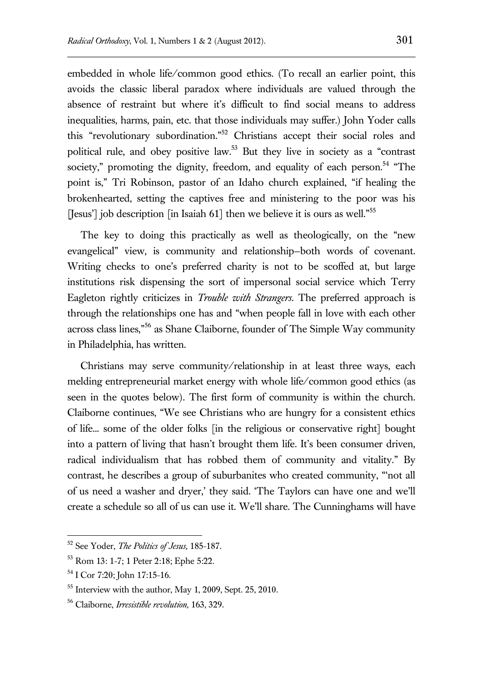embedded in whole life/common good ethics. (To recall an earlier point, this avoids the classic liberal paradox where individuals are valued through the absence of restraint but where it's difficult to find social means to address inequalities, harms, pain, etc. that those individuals may suffer.) John Yoder calls this "revolutionary subordination." <sup>52</sup> Christians accept their social roles and political rule, and obey positive law.<sup>53</sup> But they live in society as a "contrast society," promoting the dignity, freedom, and equality of each person.<sup>54</sup> "The point is," Tri Robinson, pastor of an Idaho church explained, "if healing the brokenhearted, setting the captives free and ministering to the poor was his [Jesus'] job description [in Isaiah 61] then we believe it is ours as well."<sup>55</sup>

The key to doing this practically as well as theologically, on the "new evangelical" view, is community and relationship—both words of covenant. Writing checks to one's preferred charity is not to be scoffed at, but large institutions risk dispensing the sort of impersonal social service which Terry Eagleton rightly criticizes in *Trouble with Strangers*. The preferred approach is through the relationships one has and "when people fall in love with each other across class lines,"<sup>56</sup> as Shane Claiborne, founder of The Simple Way community in Philadelphia, has written.

Christians may serve community/relationship in at least three ways, each melding entrepreneurial market energy with whole life/common good ethics (as seen in the quotes below). The first form of community is within the church. Claiborne continues, "We see Christians who are hungry for a consistent ethics of life... some of the older folks [in the religious or conservative right] bought into a pattern of living that hasn't brought them life*.* It's been consumer driven, radical individualism that has robbed them of community and vitality." By contrast, he describes a group of suburbanites who created community, "'not all of us need a washer and dryer,' they said. 'The Taylors can have one and we'll create a schedule so all of us can use it. We'll share. The Cunninghams will have

<sup>52</sup> See Yoder, *The Politics of Jesus,* 185-187.

<sup>53</sup> Rom 13: 1-7; 1 Peter 2:18; Ephe 5:22.

<sup>54</sup> I Cor 7:20; John 17:15-16.

 $55$  Interview with the author, May 1, 2009, Sept. 25, 2010.

<sup>56</sup> Claiborne, *Irresistible revolution,* 163, 329.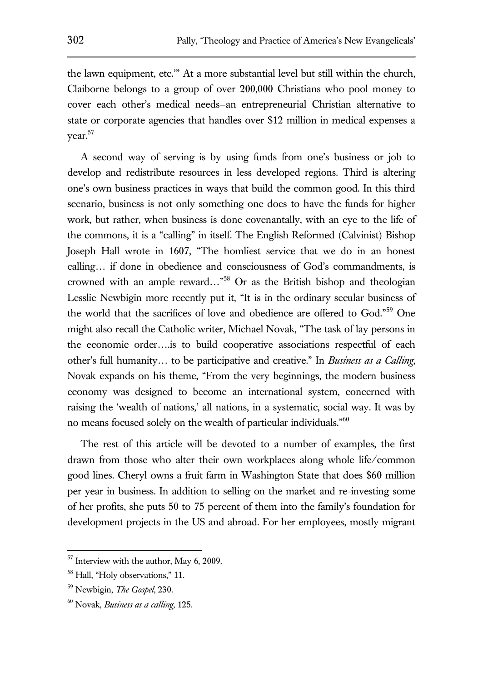the lawn equipment, etc.'" At a more substantial level but still within the church, Claiborne belongs to a group of over 200,000 Christians who pool money to cover each other's medical needs—an entrepreneurial Christian alternative to state or corporate agencies that handles over \$12 million in medical expenses a year.<sup>57</sup>

A second way of serving is by using funds from one's business or job to develop and redistribute resources in less developed regions. Third is altering one's own business practices in ways that build the common good. In this third scenario, business is not only something one does to have the funds for higher work, but rather, when business is done covenantally, with an eye to the life of the commons, it is a "calling" in itself. The English Reformed (Calvinist) Bishop Joseph Hall wrote in 1607, "The homliest service that we do in an honest calling… if done in obedience and consciousness of God's commandments, is crowned with an ample reward…"<sup>58</sup> Or as the British bishop and theologian Lesslie Newbigin more recently put it, "It is in the ordinary secular business of the world that the sacrifices of love and obedience are offered to God."<sup>59</sup> One might also recall the Catholic writer, Michael Novak, "The task of lay persons in the economic order….is to build cooperative associations respectful of each other's full humanity… to be participative and creative." In *Business as a Calling*, Novak expands on his theme, "From the very beginnings, the modern business economy was designed to become an international system, concerned with raising the 'wealth of nations,' all nations, in a systematic, social way. It was by no means focused solely on the wealth of particular individuals."<sup>60</sup>

The rest of this article will be devoted to a number of examples, the first drawn from those who alter their own workplaces along whole life/common good lines. Cheryl owns a fruit farm in Washington State that does \$60 million per year in business. In addition to selling on the market and re-investing some of her profits, she puts 50 to 75 percent of them into the family's foundation for development projects in the US and abroad. For her employees, mostly migrant

<sup>&</sup>lt;sup>57</sup> Interview with the author, May 6, 2009.

<sup>58</sup> Hall, "Holy observations," 11.

<sup>59</sup> Newbigin, *The Gospel*, 230.

<sup>60</sup> Novak, *Business as a calling,* 125.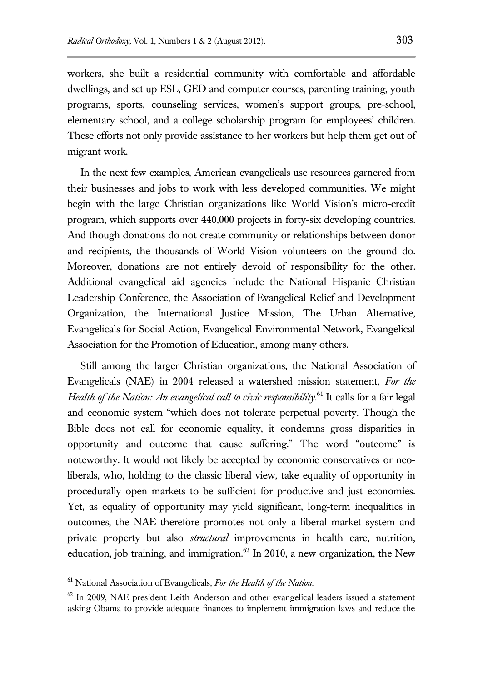workers, she built a residential community with comfortable and affordable dwellings, and set up ESL, GED and computer courses, parenting training, youth programs, sports, counseling services, women's support groups, pre-school, elementary school, and a college scholarship program for employees' children. These efforts not only provide assistance to her workers but help them get out of migrant work.

In the next few examples, American evangelicals use resources garnered from their businesses and jobs to work with less developed communities. We might begin with the large Christian organizations like World Vision's micro-credit program, which supports over 440,000 projects in forty-six developing countries. And though donations do not create community or relationships between donor and recipients, the thousands of World Vision volunteers on the ground do. Moreover, donations are not entirely devoid of responsibility for the other. Additional evangelical aid agencies include the National Hispanic Christian Leadership Conference, the Association of Evangelical Relief and Development Organization, the International Justice Mission, The Urban Alternative, Evangelicals for Social Action, Evangelical Environmental Network, Evangelical Association for the Promotion of Education, among many others.

Still among the larger Christian organizations, the National Association of Evangelicals (NAE) in 2004 released a watershed mission statement, *For the*  Health of the Nation: An evangelical call to civic responsibility.<sup>61</sup> It calls for a fair legal and economic system "which does not tolerate perpetual poverty. Though the Bible does not call for economic equality, it condemns gross disparities in opportunity and outcome that cause suffering." The word "outcome" is noteworthy. It would not likely be accepted by economic conservatives or neoliberals, who, holding to the classic liberal view, take equality of opportunity in procedurally open markets to be sufficient for productive and just economies. Yet, as equality of opportunity may yield significant, long-term inequalities in outcomes, the NAE therefore promotes not only a liberal market system and private property but also *structural* improvements in health care, nutrition, education, job training, and immigration. $62$  In 2010, a new organization, the New

<sup>61</sup> National Association of Evangelicals, *For the Health of the Nation*.

 $62$  In 2009, NAE president Leith Anderson and other evangelical leaders issued a statement asking Obama to provide adequate finances to implement immigration laws and reduce the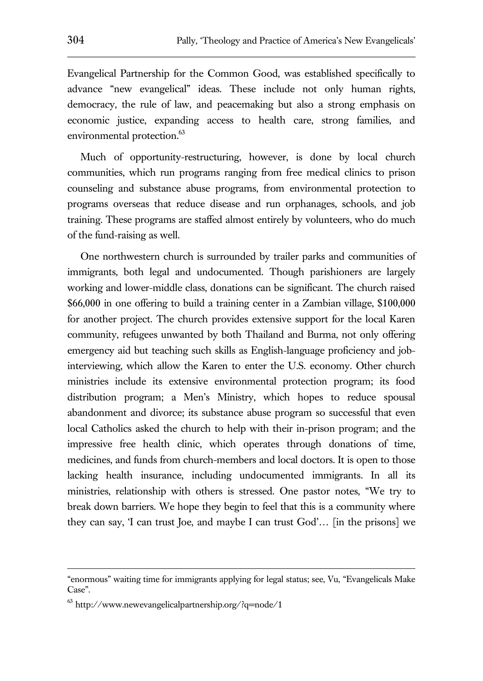Evangelical Partnership for the Common Good, was established specifically to advance "new evangelical" ideas. These include not only human rights, democracy, the rule of law, and peacemaking but also a strong emphasis on economic justice, expanding access to health care, strong families, and environmental protection.<sup>63</sup>

Much of opportunity-restructuring, however, is done by local church communities, which run programs ranging from free medical clinics to prison counseling and substance abuse programs, from environmental protection to programs overseas that reduce disease and run orphanages, schools, and job training. These programs are staffed almost entirely by volunteers, who do much of the fund-raising as well.

One northwestern church is surrounded by trailer parks and communities of immigrants, both legal and undocumented. Though parishioners are largely working and lower-middle class, donations can be significant. The church raised \$66,000 in one offering to build a training center in a Zambian village, \$100,000 for another project. The church provides extensive support for the local Karen community, refugees unwanted by both Thailand and Burma, not only offering emergency aid but teaching such skills as English-language proficiency and jobinterviewing, which allow the Karen to enter the U.S. economy. Other church ministries include its extensive environmental protection program; its food distribution program; a Men's Ministry, which hopes to reduce spousal abandonment and divorce; its substance abuse program so successful that even local Catholics asked the church to help with their in-prison program; and the impressive free health clinic, which operates through donations of time, medicines, and funds from church-members and local doctors. It is open to those lacking health insurance, including undocumented immigrants. In all its ministries, relationship with others is stressed. One pastor notes, "We try to break down barriers. We hope they begin to feel that this is a community where they can say, 'I can trust Joe, and maybe I can trust God'… [in the prisons] we

<sup>&</sup>quot;enormous" waiting time for immigrants applying for legal status; see, Vu, "Evangelicals Make Case".

<sup>63</sup> http://www.newevangelicalpartnership.org/?q=node/1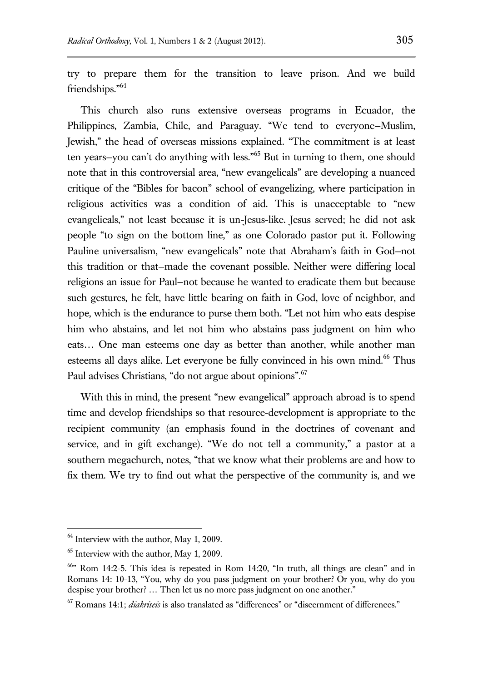try to prepare them for the transition to leave prison. And we build friendships." 64

This church also runs extensive overseas programs in Ecuador, the Philippines, Zambia, Chile, and Paraguay. "We tend to everyone—Muslim, Jewish," the head of overseas missions explained. "The commitment is at least ten years—you can't do anything with less."<sup>65</sup> But in turning to them, one should note that in this controversial area, "new evangelicals" are developing a nuanced critique of the "Bibles for bacon" school of evangelizing, where participation in religious activities was a condition of aid. This is unacceptable to "new evangelicals," not least because it is un-Jesus-like. Jesus served; he did not ask people "to sign on the bottom line," as one Colorado pastor put it. Following Pauline universalism, "new evangelicals" note that Abraham's faith in God—not this tradition or that—made the covenant possible. Neither were differing local religions an issue for Paul—not because he wanted to eradicate them but because such gestures, he felt, have little bearing on faith in God, love of neighbor, and hope, which is the endurance to purse them both. "Let not him who eats despise him who abstains, and let not him who abstains pass judgment on him who eats… One man esteems one day as better than another, while another man esteems all days alike. Let everyone be fully convinced in his own mind.<sup>66</sup> Thus Paul advises Christians, "do not argue about opinions".<sup>67</sup>

With this in mind, the present "new evangelical" approach abroad is to spend time and develop friendships so that resource-development is appropriate to the recipient community (an emphasis found in the doctrines of covenant and service, and in gift exchange). "We do not tell a community," a pastor at a southern megachurch, notes, "that we know what their problems are and how to fix them. We try to find out what the perspective of the community is, and we

 $64$  Interview with the author, May 1, 2009.

 $<sup>65</sup>$  Interview with the author, May 1, 2009.</sup>

<sup>66</sup>" Rom 14:2-5. This idea is repeated in Rom 14:20, "In truth, all things are clean" and in Romans 14: 10-13, "You, why do you pass judgment on your brother? Or you, why do you despise your brother? … Then let us no more pass judgment on one another."

<sup>67</sup> Romans 14:1; *diakriseis* is also translated as "differences" or "discernment of differences."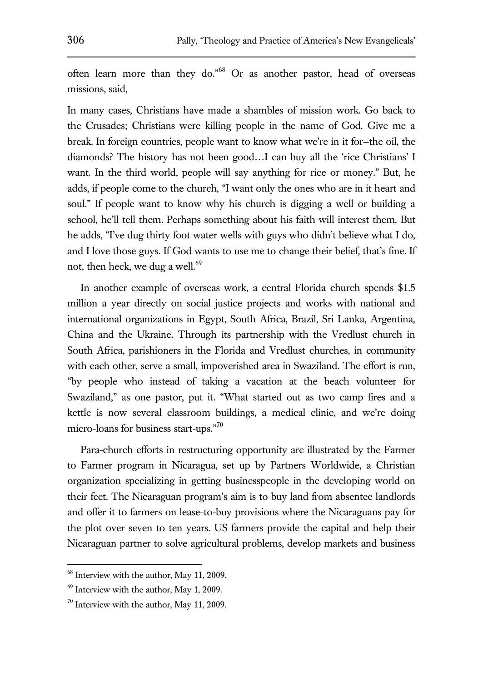often learn more than they do."<sup>68</sup> Or as another pastor, head of overseas missions, said,

In many cases, Christians have made a shambles of mission work. Go back to the Crusades; Christians were killing people in the name of God. Give me a break. In foreign countries, people want to know what we're in it for—the oil, the diamonds? The history has not been good…I can buy all the 'rice Christians' I want. In the third world, people will say anything for rice or money." But, he adds, if people come to the church, "I want only the ones who are in it heart and soul." If people want to know why his church is digging a well or building a school, he'll tell them. Perhaps something about his faith will interest them. But he adds, "I've dug thirty foot water wells with guys who didn't believe what I do, and I love those guys. If God wants to use me to change their belief, that's fine. If not, then heck, we dug a well.<sup>69</sup>

In another example of overseas work, a central Florida church spends \$1.5 million a year directly on social justice projects and works with national and international organizations in Egypt, South Africa, Brazil, Sri Lanka, Argentina, China and the Ukraine. Through its partnership with the Vredlust church in South Africa, parishioners in the Florida and Vredlust churches, in community with each other, serve a small, impoverished area in Swaziland. The effort is run, "by people who instead of taking a vacation at the beach volunteer for Swaziland," as one pastor, put it. "What started out as two camp fires and a kettle is now several classroom buildings, a medical clinic, and we're doing micro-loans for business start-ups."<sup>70</sup>

Para-church efforts in restructuring opportunity are illustrated by the Farmer to Farmer program in Nicaragua, set up by Partners Worldwide, a Christian organization specializing in getting businesspeople in the developing world on their feet. The Nicaraguan program's aim is to buy land from absentee landlords and offer it to farmers on lease-to-buy provisions where the Nicaraguans pay for the plot over seven to ten years. US farmers provide the capital and help their Nicaraguan partner to solve agricultural problems, develop markets and business

<sup>&</sup>lt;sup>68</sup> Interview with the author, May 11, 2009.

<sup>69</sup> Interview with the author, May 1, 2009.

 $70$  Interview with the author, May 11, 2009.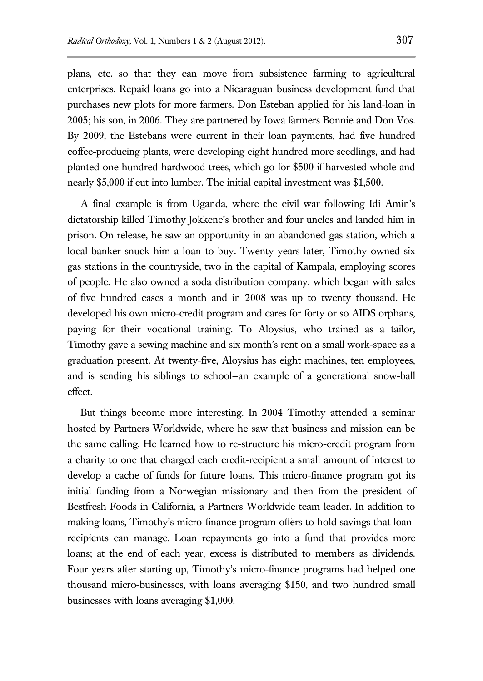plans, etc. so that they can move from subsistence farming to agricultural enterprises. Repaid loans go into a Nicaraguan business development fund that purchases new plots for more farmers. Don Esteban applied for his land-loan in 2005; his son, in 2006. They are partnered by Iowa farmers Bonnie and Don Vos. By 2009, the Estebans were current in their loan payments, had five hundred coffee-producing plants, were developing eight hundred more seedlings, and had planted one hundred hardwood trees, which go for \$500 if harvested whole and nearly \$5,000 if cut into lumber. The initial capital investment was \$1,500.

A final example is from Uganda, where the civil war following Idi Amin's dictatorship killed Timothy Jokkene's brother and four uncles and landed him in prison. On release, he saw an opportunity in an abandoned gas station, which a local banker snuck him a loan to buy. Twenty years later, Timothy owned six gas stations in the countryside, two in the capital of Kampala, employing scores of people. He also owned a soda distribution company, which began with sales of five hundred cases a month and in 2008 was up to twenty thousand. He developed his own micro-credit program and cares for forty or so AIDS orphans, paying for their vocational training. To Aloysius, who trained as a tailor, Timothy gave a sewing machine and six month's rent on a small work-space as a graduation present. At twenty-five, Aloysius has eight machines, ten employees, and is sending his siblings to school—an example of a generational snow-ball effect.

But things become more interesting. In 2004 Timothy attended a seminar hosted by Partners Worldwide, where he saw that business and mission can be the same calling. He learned how to re-structure his micro-credit program from a charity to one that charged each credit-recipient a small amount of interest to develop a cache of funds for future loans. This micro-finance program got its initial funding from a Norwegian missionary and then from the president of Bestfresh Foods in California, a Partners Worldwide team leader. In addition to making loans, Timothy's micro-finance program offers to hold savings that loanrecipients can manage. Loan repayments go into a fund that provides more loans; at the end of each year, excess is distributed to members as dividends. Four years after starting up, Timothy's micro-finance programs had helped one thousand micro-businesses, with loans averaging \$150, and two hundred small businesses with loans averaging \$1,000.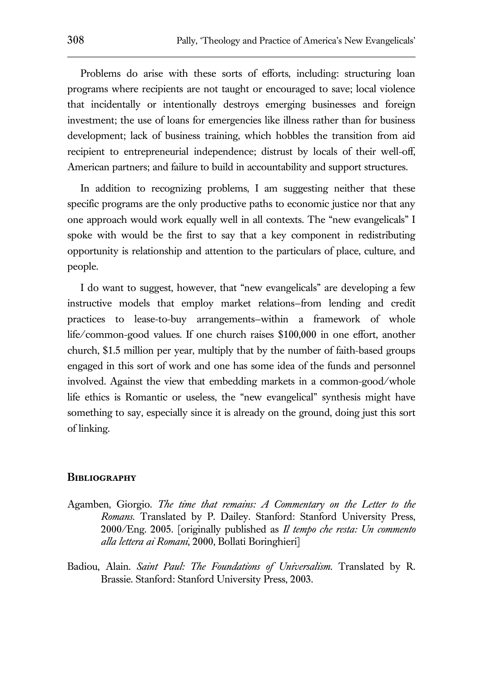Problems do arise with these sorts of efforts, including: structuring loan programs where recipients are not taught or encouraged to save; local violence that incidentally or intentionally destroys emerging businesses and foreign investment; the use of loans for emergencies like illness rather than for business development; lack of business training, which hobbles the transition from aid recipient to entrepreneurial independence; distrust by locals of their well-off, American partners; and failure to build in accountability and support structures.

In addition to recognizing problems, I am suggesting neither that these specific programs are the only productive paths to economic justice nor that any one approach would work equally well in all contexts. The "new evangelicals" I spoke with would be the first to say that a key component in redistributing opportunity is relationship and attention to the particulars of place, culture, and people.

I do want to suggest, however, that "new evangelicals" are developing a few instructive models that employ market relations—from lending and credit practices to lease-to-buy arrangements—within a framework of whole life/common-good values. If one church raises \$100,000 in one effort, another church, \$1.5 million per year, multiply that by the number of faith-based groups engaged in this sort of work and one has some idea of the funds and personnel involved. Against the view that embedding markets in a common-good/whole life ethics is Romantic or useless, the "new evangelical" synthesis might have something to say, especially since it is already on the ground, doing just this sort of linking.

#### **Bibliography**

- Agamben, Giorgio. *The time that remains: A Commentary on the Letter to the Romans.* Translated by P. Dailey. Stanford: Stanford University Press, 2000/Eng. 2005. [originally published as *Il tempo che resta: Un commento alla lettera ai Romani*, 2000, Bollati Boringhieri]
- Badiou, Alain. *Saint Paul: The Foundations of Universalism.* Translated by R. Brassie. Stanford: Stanford University Press, 2003.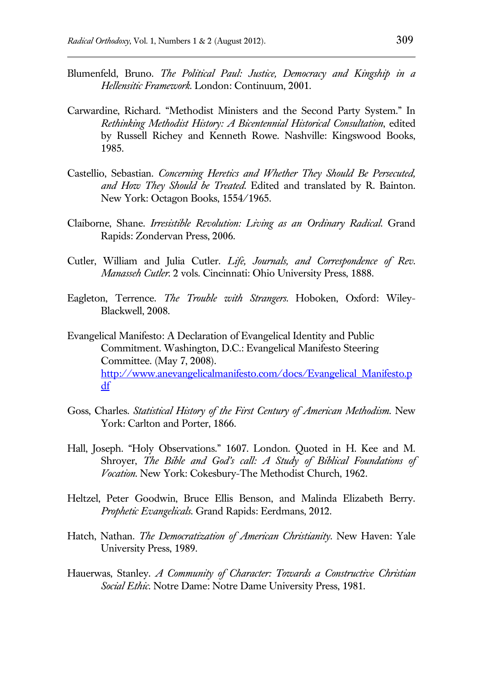- Blumenfeld, Bruno. *The Political Paul: Justice, Democracy and Kingship in a Hellensitic Framework.* London: Continuum, 2001.
- Carwardine, Richard. "Methodist Ministers and the Second Party System." In *Rethinking Methodist History: A Bicentennial Historical Consultation*, edited by Russell Richey and Kenneth Rowe. Nashville: Kingswood Books, 1985.
- Castellio, Sebastian. *Concerning Heretics and Whether They Should Be Persecuted, and How They Should be Treated*. Edited and translated by R. Bainton. New York: Octagon Books, 1554/1965.
- Claiborne, Shane. *Irresistible Revolution: Living as an Ordinary Radical*. Grand Rapids: Zondervan Press, 2006.
- Cutler, William and Julia Cutler. *Life, Journals, and Correspondence of Rev. Manasseh Cutler*. 2 vols. Cincinnati: Ohio University Press, 1888.
- Eagleton, Terrence. *The Trouble with Strangers*. Hoboken, Oxford: Wiley-Blackwell, 2008.
- Evangelical Manifesto: A Declaration of Evangelical Identity and Public Commitment. Washington, D.C.: Evangelical Manifesto Steering Committee. (May 7, 2008). [http://www.anevangelicalmanifesto.com/docs/Evangelical\\_Manifesto.p](http://www.anevangelicalmanifesto.com/docs/Evangelical_Manifesto.pdf) [df](http://www.anevangelicalmanifesto.com/docs/Evangelical_Manifesto.pdf)
- Goss, Charles. *Statistical History of the First Century of American Methodism.* New York: Carlton and Porter, 1866.
- Hall, Joseph. "Holy Observations." 1607. London. Quoted in H. Kee and M. Shroyer, *The Bible and God's call: A Study of Biblical Foundations of Vocation*. New York: Cokesbury-The Methodist Church, 1962.
- Heltzel, Peter Goodwin, Bruce Ellis Benson, and Malinda Elizabeth Berry. *Prophetic Evangelicals*. Grand Rapids: Eerdmans, 2012.
- Hatch, Nathan. *The Democratization of American Christianity*. New Haven: Yale University Press, 1989.
- Hauerwas, Stanley. *A Community of Character: Towards a Constructive Christian Social Ethic*. Notre Dame: Notre Dame University Press, 1981.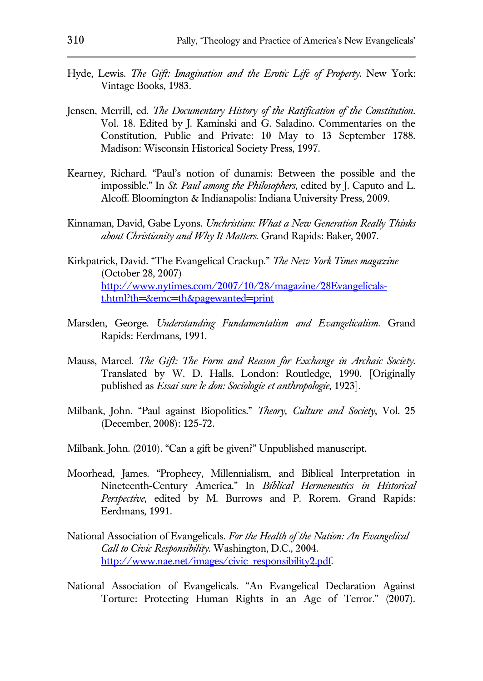- Hyde, Lewis. *The Gift: Imagination and the Erotic Life of Property*. New York: Vintage Books, 1983.
- Jensen, Merrill, ed. *The Documentary History of the Ratification of the Constitution*. Vol. 18. Edited by J. Kaminski and G. Saladino. Commentaries on the Constitution, Public and Private: 10 May to 13 September 1788. Madison: Wisconsin Historical Society Press, 1997.
- Kearney, Richard. "Paul's notion of dunamis: Between the possible and the impossible*.*" In *St. Paul among the Philosophers,* edited by J. Caputo and L. Alcoff*.* Bloomington & Indianapolis: Indiana University Press, 2009.
- Kinnaman, David, Gabe Lyons. *Unchristian: What a New Generation Really Thinks about Christianity and Why It Matters*. Grand Rapids: Baker, 2007.
- Kirkpatrick, David. "The Evangelical Crackup." *The New York Times magazine* (October 28, 2007) [http://www.nytimes.com/2007/10/28/magazine/28Evangelicals](http://www.nytimes.com/2007/10/28/magazine/28Evangelicals-t.html?th=&emc=th&pagewanted=print)[t.html?th=&emc=th&pagewanted=print](http://www.nytimes.com/2007/10/28/magazine/28Evangelicals-t.html?th=&emc=th&pagewanted=print)
- Marsden, George. *Understanding Fundamentalism and Evangelicalism.* Grand Rapids: Eerdmans, 1991.
- Mauss, Marcel. *The Gift: The Form and Reason for Exchange in Archaic Society*. Translated by W. D. Halls. London: Routledge, 1990. [Originally published as *Essai sure le don: Sociologie et anthropologie*, 1923].
- Milbank, John. "Paul against Biopolitics." *Theory, Culture and Society*, Vol. 25 (December, 2008): 125-72.
- Milbank. John. (2010). "Can a gift be given?" Unpublished manuscript.
- Moorhead, James. "Prophecy, Millennialism, and Biblical Interpretation in Nineteenth-Century America." In *Biblical Hermeneutics in Historical Perspective*, edited by M. Burrows and P. Rorem. Grand Rapids: Eerdmans, 1991.
- National Association of Evangelicals. *For the Health of the Nation: An Evangelical Call to Civic Responsibility.* Washington, D.C., 2004. [http://www.nae.net/images/civic\\_responsibility2.pdf.](http://www.nae.net/images/civic_responsibility2.pdf)
- National Association of Evangelicals. "An Evangelical Declaration Against Torture: Protecting Human Rights in an Age of Terror." (2007).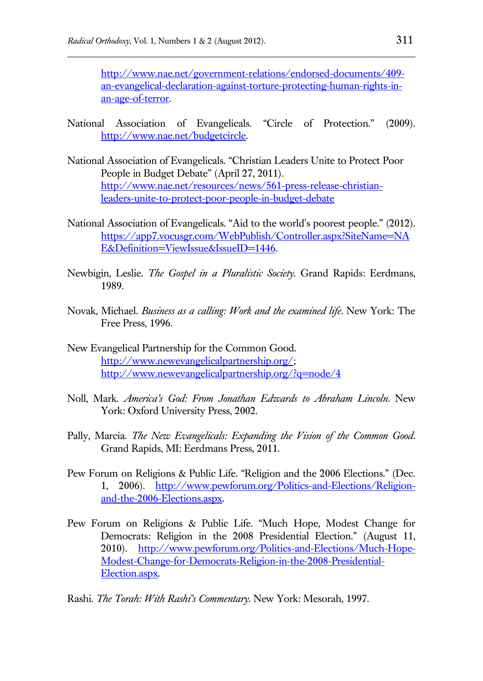[http://www.nae.net/government-relations/endorsed-documents/409](http://www.nae.net/government-relations/endorsed-documents/409-an-evangelical-declaration-against-torture-protecting-human-rights-in-an-age-of-terror) [an-evangelical-declaration-against-torture-protecting-human-rights-in](http://www.nae.net/government-relations/endorsed-documents/409-an-evangelical-declaration-against-torture-protecting-human-rights-in-an-age-of-terror)[an-age-of-terror.](http://www.nae.net/government-relations/endorsed-documents/409-an-evangelical-declaration-against-torture-protecting-human-rights-in-an-age-of-terror)

- National Association of Evangelicals. "Circle of Protection." (2009). [http://www.nae.net/budgetcircle.](http://www.nae.net/budgetcircle)
- National Association of Evangelicals. "Christian Leaders Unite to Protect Poor People in Budget Debate" (April 27, 2011). [http://www.nae.net/resources/news/561-press-release-christian](http://www.nae.net/resources/news/561-press-release-christian-leaders-unite-to-protect-poor-people-in-budget-debate)[leaders-unite-to-protect-poor-people-in-budget-debate](http://www.nae.net/resources/news/561-press-release-christian-leaders-unite-to-protect-poor-people-in-budget-debate)
- National Association of Evangelicals. "Aid to the world's poorest people." (2012). [https://app7.vocusgr.com/WebPublish/Controller.aspx?SiteName=NA](https://app7.vocusgr.com/WebPublish/Controller.aspx?SiteName=NAE&Definition=ViewIssue&IssueID=1446) E&Definition=ViewIssue&IssueID=1446.
- Newbigin, Leslie. *The Gospel in a Pluralistic Society.* Grand Rapids: Eerdmans, 1989.
- Novak, Michael. *Business as a calling: Work and the examined life*. New York: The Free Press, 1996.
- New Evangelical Partnership for the Common Good. [http://www.newevangelicalpartnership.org/;](http://www.newevangelicalpartnership.org/) <http://www.newevangelicalpartnership.org/?q=node/4>
- Noll, Mark. *America's God: From Jonathan Edwards to Abraham Lincoln*. New York: Oxford University Press, 2002.
- Pally, Marcia. *The New Evangelicals: Expanding the Vision of the Common Good*. Grand Rapids, MI: Eerdmans Press, 2011.
- Pew Forum on Religions & Public Life. "Religion and the 2006 Elections." (Dec. 1, 2006). [http://www.pewforum.org/Politics-and-Elections/Religion](http://www.pewforum.org/Politics-and-Elections/Religion-and-the-2006-Elections.aspx)[and-the-2006-Elections.aspx.](http://www.pewforum.org/Politics-and-Elections/Religion-and-the-2006-Elections.aspx)
- Pew Forum on Religions & Public Life. "Much Hope, Modest Change for Democrats: Religion in the 2008 Presidential Election." (August 11, 2010). [http://www.pewforum.org/Politics-and-Elections/Much-Hope-](http://www.pewforum.org/Politics-and-Elections/Much-Hope-Modest-Change-for-Democrats-Religion-in-the-2008-Presidential-Election.aspx)[Modest-Change-for-Democrats-Religion-in-the-2008-Presidential-](http://www.pewforum.org/Politics-and-Elections/Much-Hope-Modest-Change-for-Democrats-Religion-in-the-2008-Presidential-Election.aspx)[Election.aspx.](http://www.pewforum.org/Politics-and-Elections/Much-Hope-Modest-Change-for-Democrats-Religion-in-the-2008-Presidential-Election.aspx)
- Rashi. *The Torah: With Rashi's Commentary*. New York: Mesorah, 1997.